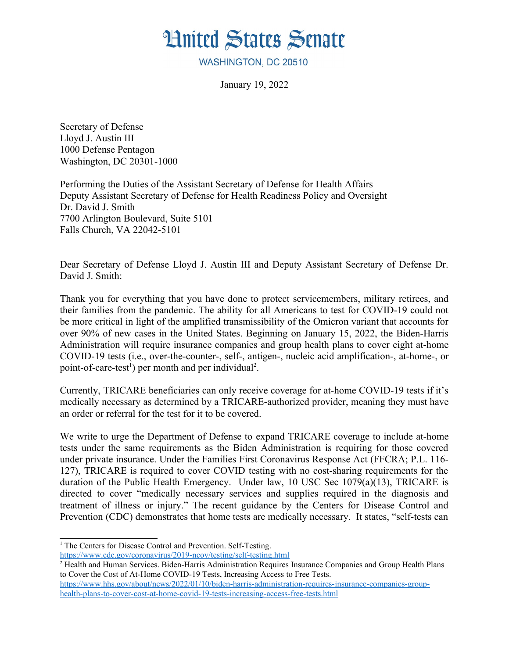## **Hnited States Senate**

WASHINGTON, DC 20510

January 19, 2022

Secretary of Defense Lloyd J. Austin III 1000 Defense Pentagon Washington, DC 20301-1000

Performing the Duties of the Assistant Secretary of Defense for Health Affairs Deputy Assistant Secretary of Defense for Health Readiness Policy and Oversight Dr. David J. Smith 7700 Arlington Boulevard, Suite 5101 Falls Church, VA 22042-5101

Dear Secretary of Defense Lloyd J. Austin III and Deputy Assistant Secretary of Defense Dr. David J. Smith:

Thank you for everything that you have done to protect servicemembers, military retirees, and their families from the pandemic. The ability for all Americans to test for COVID-19 could not be more critical in light of the amplified transmissibility of the Omicron variant that accounts for over 90% of new cases in the United States. Beginning on January 15, 2022, the Biden-Harris Administration will require insurance companies and group health plans to cover eight at-home COVID-19 tests (i.e., over-the-counter-, self-, antigen-, nucleic acid amplification-, at-home-, or point-of-care-test<sup>[1](#page-0-1)</sup>) per month and per individual<sup>[2](#page-0-3)</sup>.

<span id="page-0-2"></span><span id="page-0-0"></span>Currently, TRICARE beneficiaries can only receive coverage for at-home COVID-19 tests if it's medically necessary as determined by a TRICARE-authorized provider, meaning they must have an order or referral for the test for it to be covered.

We write to urge the Department of Defense to expand TRICARE coverage to include at-home tests under the same requirements as the Biden Administration is requiring for those covered under private insurance. Under the Families First Coronavirus Response Act (FFCRA; P.L. 116- 127), TRICARE is required to cover COVID testing with no cost-sharing requirements for the duration of the Public Health Emergency. Under law, 10 USC Sec 1079(a)(13), TRICARE is directed to cover "medically necessary services and supplies required in the diagnosis and treatment of illness or injury." The recent guidance by the Centers for Disease Control and Prevention (CDC) demonstrates that home tests are medically necessary. It states, "self-tests can

<span id="page-0-1"></span><sup>&</sup>lt;sup>[1](#page-0-0)</sup> The Centers for Disease Control and Prevention. Self-Testing.

<https://www.cdc.gov/coronavirus/2019-ncov/testing/self-testing.html>

<span id="page-0-3"></span><sup>&</sup>lt;sup>[2](#page-0-2)</sup> Health and Human Services. Biden-Harris Administration Requires Insurance Companies and Group Health Plans to Cover the Cost of At-Home COVID-19 Tests, Increasing Access to Free Tests.

[https://www.hhs.gov/about/news/2022/01/10/biden-harris-administration-requires-insurance-companies-group](https://www.hhs.gov/about/news/2022/01/10/biden-harris-administration-requires-insurance-companies-group-health-plans-to-cover-cost-at-home-covid-19-tests-increasing-access-free-tests.html)[health-plans-to-cover-cost-at-home-covid-19-tests-increasing-access-free-tests.html](https://www.hhs.gov/about/news/2022/01/10/biden-harris-administration-requires-insurance-companies-group-health-plans-to-cover-cost-at-home-covid-19-tests-increasing-access-free-tests.html)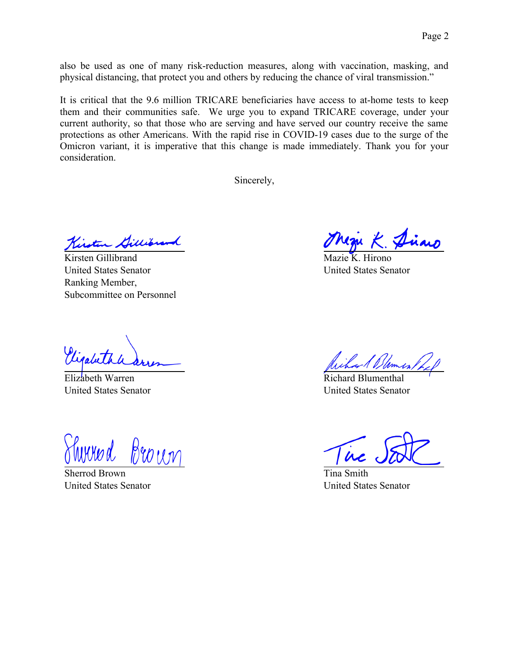also be used as one of many risk-reduction measures, along with vaccination, masking, and physical distancing, that protect you and others by reducing the chance of viral transmission."

It is critical that the 9.6 million TRICARE beneficiaries have access to at-home tests to keep them and their communities safe. We urge you to expand TRICARE coverage, under your current authority, so that those who are serving and have served our country receive the same protections as other Americans. With the rapid rise in COVID-19 cases due to the surge of the Omicron variant, it is imperative that this change is made immediately. Thank you for your consideration.

Sincerely,

Kirsten Gillis

Kirsten Gillibrand United States Senator Ranking Member, Subcommittee on Personnel

Vigabet

Elizabeth Warren United States Senator

Broun

Sherrod Brown United States Senator

Hirono United States Senator

Dames.

Richard Blumenthal United States Senator

Tina Smith United States Senator